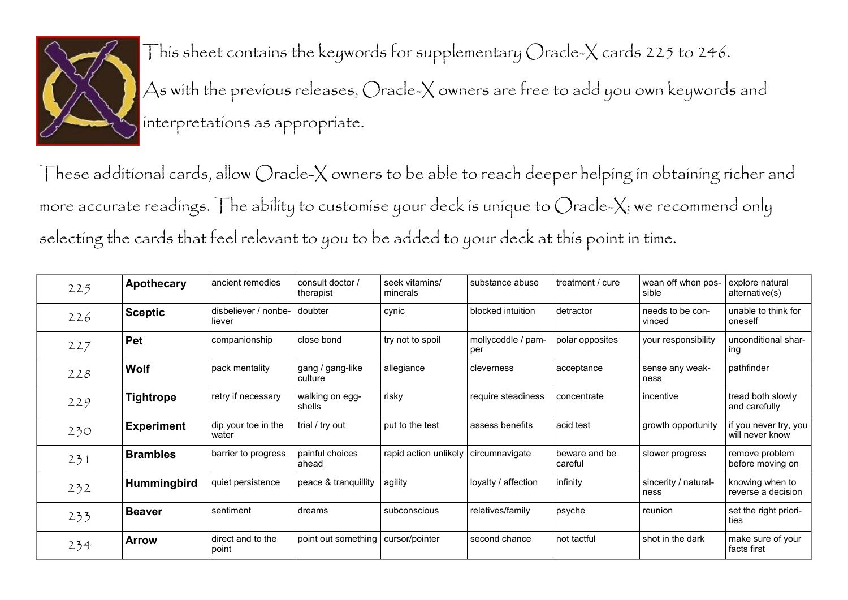

This sheet contains the keywords for supplementary Oracle-X cards 225 to 246. As with the previous releases, Oracle-X owners are free to add you own keywords and interpretations as appropriate.

These additional cards, allow Oracle-X owners to be able to reach deeper helping in obtaining richer and more accurate readings. The ability to customise your deck is unique to Oracle-X; we recommend only selecting the cards that feel relevant to you to be added to your deck at this point in time.

| 225 | Apothecary         | ancient remedies               | consult doctor /<br>therapist | seek vitamins/<br>minerals | substance abuse           | treatment / cure         | wean off when pos-<br>sible  | explore natural<br>alternative(s)        |
|-----|--------------------|--------------------------------|-------------------------------|----------------------------|---------------------------|--------------------------|------------------------------|------------------------------------------|
| 226 | <b>Sceptic</b>     | disbeliever / nonbe-<br>liever | doubter                       | cynic                      | blocked intuition         | detractor                | needs to be con-<br>vinced   | unable to think for<br>oneself           |
| 227 | Pet                | companionship                  | close bond                    | try not to spoil           | mollycoddle / pam-<br>per | polar opposites          | your responsibility          | unconditional shar-<br>ing               |
| 228 | <b>Wolf</b>        | pack mentality                 | gang / gang-like<br>culture   | allegiance                 | cleverness                | acceptance               | sense any weak-<br>ness      | pathfinder                               |
| 229 | <b>Tightrope</b>   | retry if necessary             | walking on egg-<br>shells     | risky                      | require steadiness        | concentrate              | incentive                    | tread both slowly<br>and carefully       |
| 230 | <b>Experiment</b>  | dip your toe in the<br>water   | trial / try out               | put to the test            | assess benefits           | acid test                | growth opportunity           | if you never try, you<br>will never know |
| 231 | <b>Brambles</b>    | barrier to progress            | painful choices<br>ahead      | rapid action unlikely      | circumnavigate            | beware and be<br>careful | slower progress              | remove problem<br>before moving on       |
| 232 | <b>Hummingbird</b> | quiet persistence              | peace & tranquillity          | agility                    | loyalty / affection       | infinity                 | sincerity / natural-<br>ness | knowing when to<br>reverse a decision    |
| 233 | <b>Beaver</b>      | sentiment                      | dreams                        | subconscious               | relatives/family          | psyche                   | reunion                      | set the right priori-<br>ties            |
| 234 | <b>Arrow</b>       | direct and to the<br>point     | point out something           | cursor/pointer             | second chance             | not tactful              | shot in the dark             | make sure of your<br>facts first         |